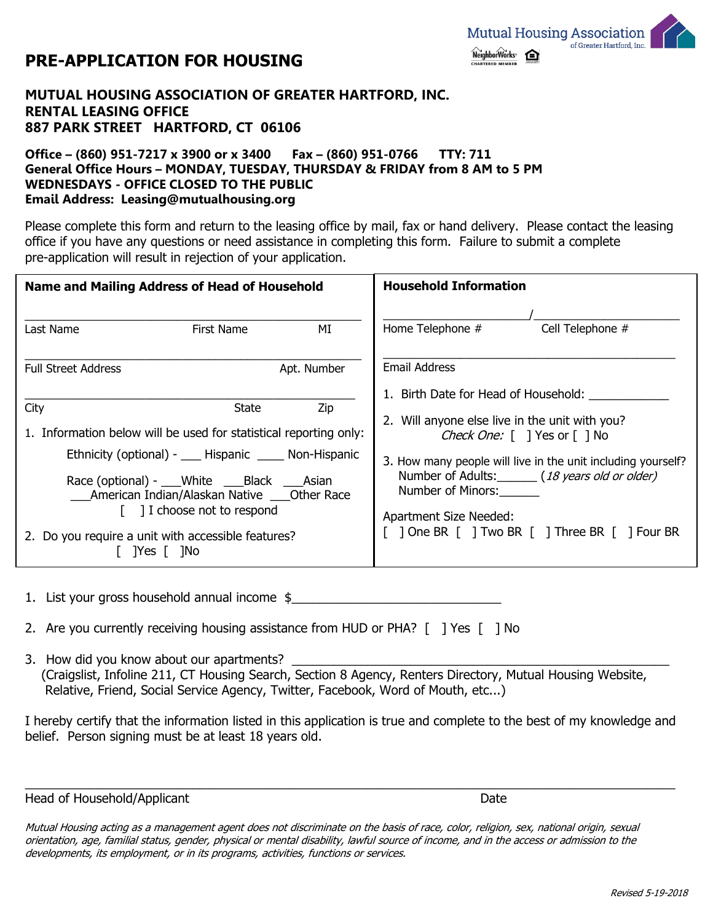

## **PRE-APPLICATION FOR HOUSING**

## **MUTUAL HOUSING ASSOCIATION OF GREATER HARTFORD, INC. RENTAL LEASING OFFICE 887 PARK STREET HARTFORD, CT 06106**

## **Office – (860) 951-7217 x 3900 or x 3400 Fax – (860) 951-0766 TTY: 711 General Office Hours – MONDAY, TUESDAY, THURSDAY & FRIDAY from 8 AM to 5 PM WEDNESDAYS - OFFICE CLOSED TO THE PUBLIC Email Address: Leasing@mutualhousing.org**

Please complete this form and return to the leasing office by mail, fax or hand delivery. Please contact the leasing office if you have any questions or need assistance in completing this form. Failure to submit a complete pre-application will result in rejection of your application.

| <b>Name and Mailing Address of Head of Household</b>                                                                                                                                                                                                                                                                                                      |            |                                                                                                                                                                                                                                                                                              | <b>Household Information</b> |                  |
|-----------------------------------------------------------------------------------------------------------------------------------------------------------------------------------------------------------------------------------------------------------------------------------------------------------------------------------------------------------|------------|----------------------------------------------------------------------------------------------------------------------------------------------------------------------------------------------------------------------------------------------------------------------------------------------|------------------------------|------------------|
| Last Name                                                                                                                                                                                                                                                                                                                                                 | First Name | MI                                                                                                                                                                                                                                                                                           | Home Telephone #             | Cell Telephone # |
| Apt. Number<br><b>Full Street Address</b>                                                                                                                                                                                                                                                                                                                 |            | <b>Email Address</b><br>1. Birth Date for Head of Household:                                                                                                                                                                                                                                 |                              |                  |
| Zip<br>City<br>State<br>1. Information below will be used for statistical reporting only:<br>Ethnicity (optional) - ____ Hispanic ______ Non-Hispanic<br>Race (optional) - White Black Asian<br>American Indian/Alaskan Native ____ Other Race<br>$\lceil$ 1 choose not to respond<br>2. Do you require a unit with accessible features?<br>$ Yes $ $ No$ |            | 2. Will anyone else live in the unit with you?<br>Check One: [ ] Yes or [ ] No<br>3. How many people will live in the unit including yourself?<br>Number of Adults: (18 years old or older)<br>Number of Minors:<br>Apartment Size Needed:<br>[ ] One BR [ ] Two BR [ ] Three BR [ ] Four BR |                              |                  |

1. List your gross household annual income \$

- 2. Are you currently receiving housing assistance from HUD or PHA?  $\lceil$  1 Yes  $\lceil$  1 No
- 3. How did you know about our apartments? (Craigslist, Infoline 211, CT Housing Search, Section 8 Agency, Renters Directory, Mutual Housing Website, Relative, Friend, Social Service Agency, Twitter, Facebook, Word of Mouth, etc...)

I hereby certify that the information listed in this application is true and complete to the best of my knowledge and belief. Person signing must be at least 18 years old.

 $\_$  ,  $\_$  ,  $\_$  ,  $\_$  ,  $\_$  ,  $\_$  ,  $\_$  ,  $\_$  ,  $\_$  ,  $\_$  ,  $\_$  ,  $\_$  ,  $\_$  ,  $\_$  ,  $\_$  ,  $\_$  ,  $\_$  ,  $\_$  ,  $\_$  ,  $\_$  ,  $\_$  ,  $\_$  ,  $\_$  ,  $\_$  ,  $\_$  ,  $\_$  ,  $\_$  ,  $\_$  ,  $\_$  ,  $\_$  ,  $\_$  ,  $\_$  ,  $\_$  ,  $\_$  ,  $\_$  ,  $\_$  ,  $\_$  ,

Head of Household/Applicant **Date of Applicant** Date of Applicant Date of Applicant Date of Applicant Date of Applicant Date of Applicant Date of Applicant Date of Applicant Date of Applicant Date of Applicant Date of Appl

Mutual Housing acting as a management agent does not discriminate on the basis of race, color, religion, sex, national origin, sexual orientation, age, familial status, gender, physical or mental disability, lawful source of income, and in the access or admission to the developments, its employment, or in its programs, activities, functions or services.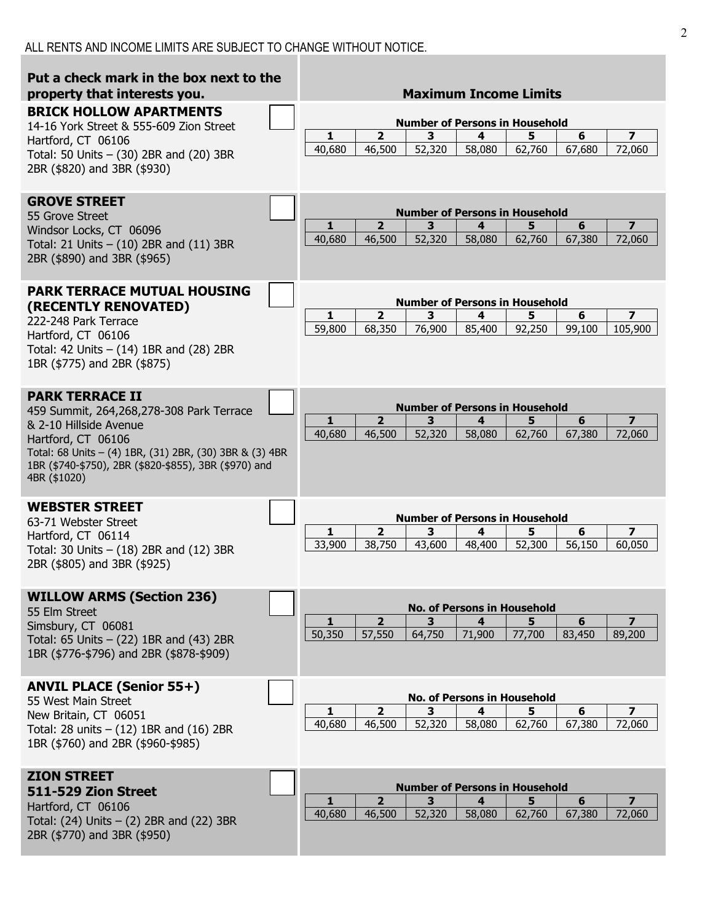| Put a check mark in the box next to the<br>property that interests you.                                                                                                                                                                                | <b>Maximum Income Limits</b>                                                                                                                                                                   |
|--------------------------------------------------------------------------------------------------------------------------------------------------------------------------------------------------------------------------------------------------------|------------------------------------------------------------------------------------------------------------------------------------------------------------------------------------------------|
| <b>BRICK HOLLOW APARTMENTS</b><br>14-16 York Street & 555-609 Zion Street<br>Hartford, CT 06106<br>Total: 50 Units $-$ (30) 2BR and (20) 3BR<br>2BR (\$820) and 3BR (\$930)                                                                            | <b>Number of Persons in Household</b><br>$\overline{2}$<br>3<br>4<br>5<br>6<br>$\overline{\mathbf{z}}$<br>1<br>52,320<br>40,680<br>46,500<br>58,080<br>62,760<br>67,680<br>72,060              |
| <b>GROVE STREET</b><br>55 Grove Street<br>Windsor Locks, CT 06096<br>Total: 21 Units $-$ (10) 2BR and (11) 3BR<br>2BR (\$890) and 3BR (\$965)                                                                                                          | <b>Number of Persons in Household</b><br>$\overline{2}$<br>5<br>6<br>7<br>1<br>3<br>4<br>40,680<br>46,500<br>52,320<br>58,080<br>62,760<br>67,380<br>72,060                                    |
| <b>PARK TERRACE MUTUAL HOUSING</b><br>(RECENTLY RENOVATED)<br>222-248 Park Terrace<br>Hartford, CT 06106<br>Total: 42 Units $-$ (14) 1BR and (28) 2BR<br>1BR (\$775) and 2BR (\$875)                                                                   | <b>Number of Persons in Household</b><br>$\overline{\mathbf{2}}$<br>1<br>3<br>5<br>6<br>7<br>4<br>59,800<br>68,350<br>76,900<br>85,400<br>92,250<br>105,900<br>99,100                          |
| <b>PARK TERRACE II</b><br>459 Summit, 264,268,278-308 Park Terrace<br>& 2-10 Hillside Avenue<br>Hartford, CT 06106<br>Total: 68 Units - (4) 1BR, (31) 2BR, (30) 3BR & (3) 4BR<br>1BR (\$740-\$750), 2BR (\$820-\$855), 3BR (\$970) and<br>4BR (\$1020) | <b>Number of Persons in Household</b><br>$\overline{\mathbf{2}}$<br>1<br>3<br>5<br>6<br>7<br>4<br>40,680<br>46,500<br>52,320<br>58,080<br>62,760<br>67,380<br>72,060                           |
| <b>WEBSTER STREET</b><br>63-71 Webster Street<br>Hartford, CT 06114<br>Total: 30 Units $-$ (18) 2BR and (12) 3BR<br>2BR (\$805) and 3BR (\$925)                                                                                                        | <b>Number of Persons in Household</b><br>$\overline{\mathbf{2}}$<br>3<br>4<br>5<br>6<br>7<br>1<br>33,900<br>38,750<br>52,300<br>43,600<br>48,400<br>56,150<br>60,050                           |
| <b>WILLOW ARMS (Section 236)</b><br>55 Elm Street<br>Simsbury, CT 06081<br>Total: 65 Units $-$ (22) 1BR and (43) 2BR<br>1BR (\$776-\$796) and 2BR (\$878-\$909)                                                                                        | <b>No. of Persons in Household</b><br>$\overline{2}$<br>5<br>6<br>$\overline{ }$<br>1<br>3<br>4<br>50,350<br>57,550<br>64,750<br>71,900<br>77,700<br>83,450<br>89,200                          |
| <b>ANVIL PLACE (Senior 55+)</b><br>55 West Main Street<br>New Britain, CT 06051<br>Total: 28 units $-$ (12) 1BR and (16) 2BR<br>1BR (\$760) and 2BR (\$960-\$985)                                                                                      | <b>No. of Persons in Household</b><br>$\overline{\mathbf{2}}$<br>6<br>$\overline{\mathbf{z}}$<br>3<br>5<br>1<br>4<br>40,680<br>46,500<br>62,760<br>52,320<br>58,080<br>67,380<br>72,060        |
| <b>ZION STREET</b><br>511-529 Zion Street<br>Hartford, CT 06106<br>Total: $(24)$ Units $- (2)$ 2BR and $(22)$ 3BR<br>2BR (\$770) and 3BR (\$950)                                                                                                       | <b>Number of Persons in Household</b><br>$\overline{2}$<br>5<br>$6\phantom{1}$<br>3<br>$\overline{\mathbf{z}}$<br>1<br>4<br>40,680<br>46,500<br>52,320<br>58,080<br>62,760<br>67,380<br>72,060 |